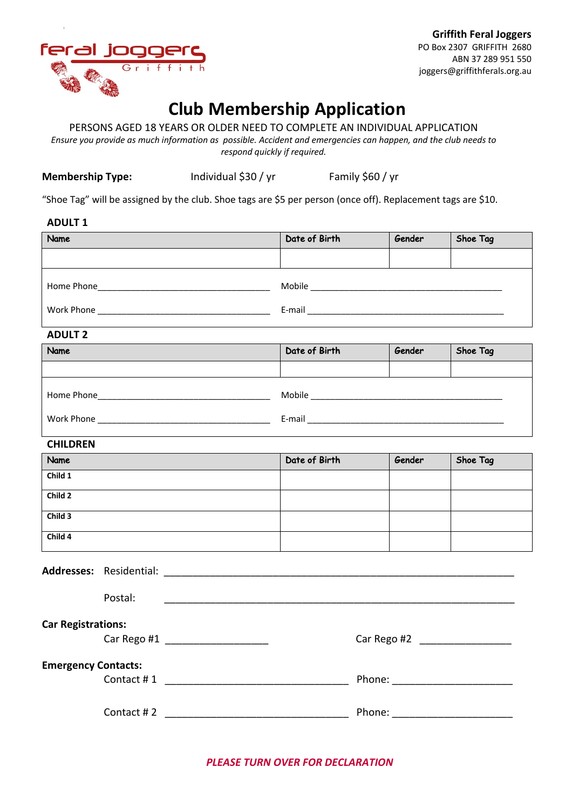

# **Club Membership Application**

PERSONS AGED 18 YEARS OR OLDER NEED TO COMPLETE AN INDIVIDUAL APPLICATION

*Ensure you provide as much information as possible. Accident and emergencies can happen, and the club needs to respond quickly if required.*

**Membership Type:** Individual \$30 / yr Family \$60 / yr

"Shoe Tag" will be assigned by the club. Shoe tags are \$5 per person (once off). Replacement tags are \$10.

### **ADULT 1**

| Name       | Date of Birth | Gender | Shoe Tag |
|------------|---------------|--------|----------|
|            |               |        |          |
| Home Phone | Mobile        |        |          |
| Work Phone | E-mail        |        |          |

#### **ADULT 2**

| Name       | Date of Birth | Gender | Shoe Tag |
|------------|---------------|--------|----------|
|            |               |        |          |
| Home Phone | Mobile        |        |          |
| Work Phone | E-mail        |        |          |

## **CHILDREN**

| Name    | Date of Birth | Gender | Shoe Tag |
|---------|---------------|--------|----------|
| Child 1 |               |        |          |
| Child 2 |               |        |          |
| Child 3 |               |        |          |
| Child 4 |               |        |          |

Addresses: Residential:

| Postal:                    |             |
|----------------------------|-------------|
| <b>Car Registrations:</b>  |             |
| Car Rego #1                | Car Rego #2 |
| <b>Emergency Contacts:</b> |             |
| Contact #1                 | Phone:      |
| Contact #2                 | Phone:      |

*PLEASE TURN OVER FOR DECLARATION*